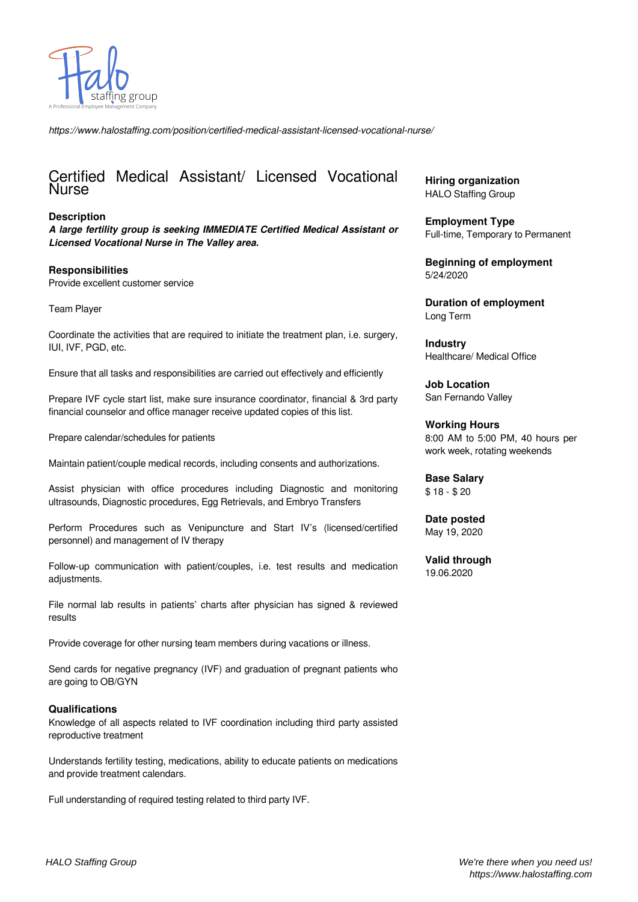

*https://www.halostaffing.com/position/certified-medical-assistant-licensed-vocational-nurse/*

## Certified Medical Assistant/ Licensed Vocational Nurse

## **Description**

*A large fertility group is seeking IMMEDIATE Certified Medical Assistant or Licensed Vocational Nurse in The Valley area.*

## **Responsibilities**

Provide excellent customer service

Team Player

Coordinate the activities that are required to initiate the treatment plan, i.e. surgery, IUI, IVF, PGD, etc.

Ensure that all tasks and responsibilities are carried out effectively and efficiently

Prepare IVF cycle start list, make sure insurance coordinator, financial & 3rd party financial counselor and office manager receive updated copies of this list.

Prepare calendar/schedules for patients

Maintain patient/couple medical records, including consents and authorizations.

Assist physician with office procedures including Diagnostic and monitoring ultrasounds, Diagnostic procedures, Egg Retrievals, and Embryo Transfers

Perform Procedures such as Venipuncture and Start IV's (licensed/certified personnel) and management of IV therapy

Follow-up communication with patient/couples, i.e. test results and medication adjustments.

File normal lab results in patients' charts after physician has signed & reviewed results

Provide coverage for other nursing team members during vacations or illness.

Send cards for negative pregnancy (IVF) and graduation of pregnant patients who are going to OB/GYN

## **Qualifications**

Knowledge of all aspects related to IVF coordination including third party assisted reproductive treatment

Understands fertility testing, medications, ability to educate patients on medications and provide treatment calendars.

Full understanding of required testing related to third party IVF.

**Hiring organization** HALO Staffing Group

**Employment Type** Full-time, Temporary to Permanent

**Beginning of employment** 5/24/2020

**Duration of employment** Long Term

**Industry** Healthcare/ Medical Office

**Job Location** San Fernando Valley

**Working Hours** 8:00 AM to 5:00 PM, 40 hours per work week, rotating weekends

**Base Salary** \$ 18 - \$ 20

**Date posted** May 19, 2020

**Valid through** 19.06.2020